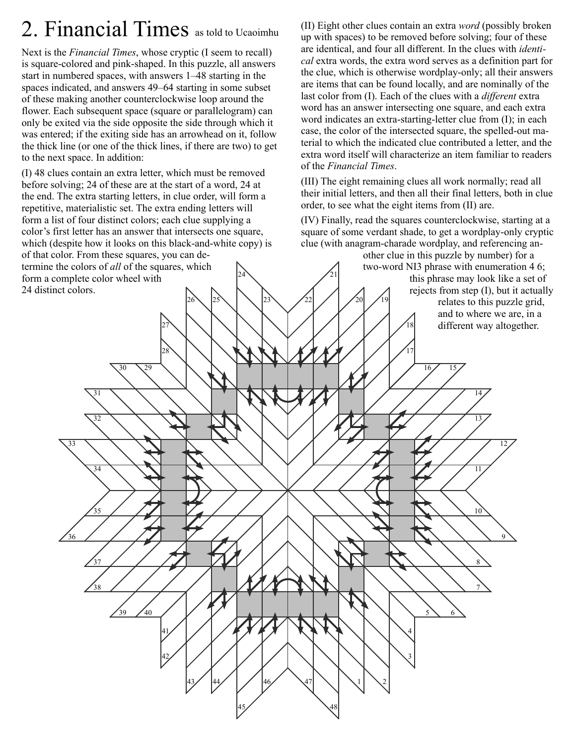## 2. Financial Times as told to Ucaoimhu

Next is the *Financial Times*, whose cryptic (I seem to recall) is square-colored and pink-shaped. In this puzzle, all answers start in numbered spaces, with answers 1–48 starting in the spaces indicated, and answers 49–64 starting in some subset of these making another counterclockwise loop around the flower. Each subsequent space (square or parallelogram) can only be exited via the side opposite the side through which it was entered; if the exiting side has an arrowhead on it, follow the thick line (or one of the thick lines, if there are two) to get to the next space. In addition:

24 (I) 48 clues contain an extra letter, which must be removed before solving; 24 of these are at the start of a word, 24 at the end. The extra starting letters, in clue order, will form a repetitive, materialistic set. The extra ending letters will form a list of four distinct colors; each clue supplying a color's first letter has an answer that intersects one square, which (despite how it looks on this black-and-white copy) is of that color. From these squares, you can determine the colors of *all* of the squares, which form a complete color wheel with 24 distinct colors.

27

28

 $26 \times 25$ 

(II) Eight other clues contain an extra *word* (possibly broken up with spaces) to be removed before solving; four of these are identical, and four all different. In the clues with *identical* extra words, the extra word serves as a definition part for the clue, which is otherwise wordplay-only; all their answers are items that can be found locally, and are nominally of the last color from (I). Each of the clues with a *different* extra word has an answer intersecting one square, and each extra word indicates an extra-starting-letter clue from (I); in each case, the color of the intersected square, the spelled-out material to which the indicated clue contributed a letter, and the extra word itself will characterize an item familiar to readers of the *Financial Times*.

(III) The eight remaining clues all work normally; read all their initial letters, and then all their final letters, both in clue order, to see what the eight items from (II) are.

(IV) Finally, read the squares counterclockwise, starting at a square of some verdant shade, to get a wordplay-only cryptic clue (with anagram-charade wordplay, and referencing an-

17

 $20 \mid \angle 19$ 18 other clue in this puzzle by number) for a two-word NI3 phrase with enumeration 4 6; this phrase may look like a set of rejects from step (I), but it actually relates to this puzzle grid, and to where we are, in a different way altogether.



21

22

23